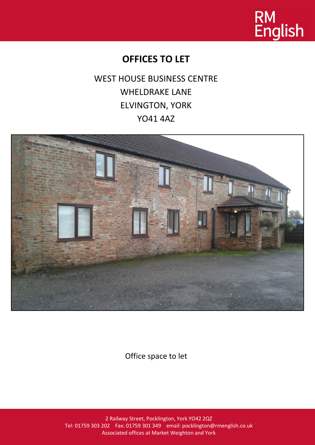

# **OFFICES TO LET**

WEST HOUSE BUSINESS CENTRE WHELDRAKE LANE ELVINGTON, YORK YO41 4AZ



Office space to let

2 Railway Street, Pocklington, York YO42 2QZ Tel: 01759 303 202 Fax: 01759 301 349 email: pocklington@rmenglish.co.uk Associated offices at Market Weighton and York